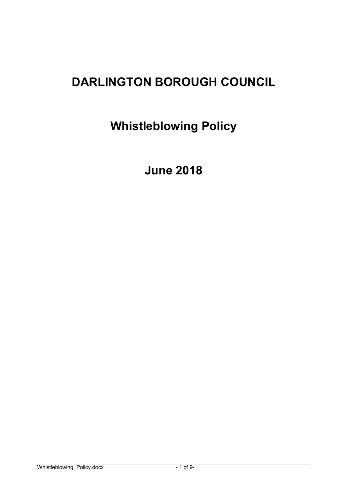# **DARLINGTON BOROUGH COUNCIL**

**Whistleblowing Policy** 

 **June 2018**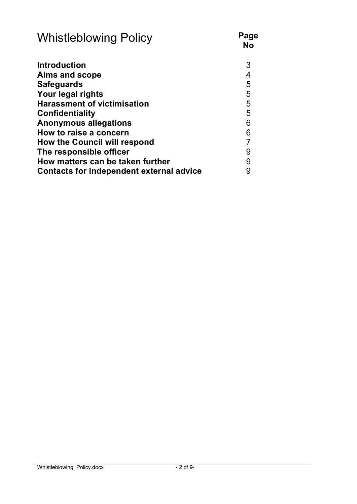| <b>Whistleblowing Policy</b>             | Page<br><b>No</b>        |
|------------------------------------------|--------------------------|
| <b>Introduction</b>                      | 3                        |
| Aims and scope                           | $\overline{\mathcal{A}}$ |
| <b>Safeguards</b>                        | 5                        |
| Your legal rights                        | 5                        |
| <b>Harassment of victimisation</b>       | 5                        |
| <b>Confidentiality</b>                   | 5                        |
| <b>Anonymous allegations</b>             | 6                        |
| How to raise a concern                   | 6                        |
| <b>How the Council will respond</b>      | $\overline{7}$           |
| The responsible officer                  | 9                        |
| How matters can be taken further         | 9                        |
| Contacts for independent external advice | 9                        |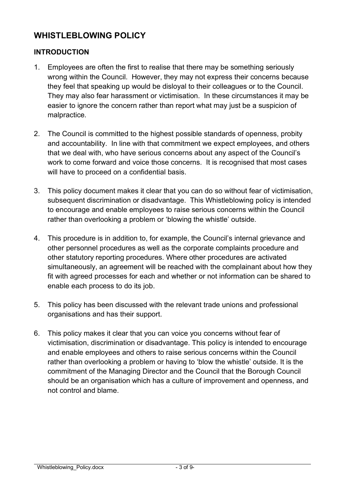# **WHISTLEBLOWING POLICY**

#### **INTRODUCTION**

- they feel that speaking up would be disloyal to their colleagues or to the Council. 1. Employees are often the first to realise that there may be something seriously wrong within the Council. However, they may not express their concerns because They may also fear harassment or victimisation. In these circumstances it may be easier to ignore the concern rather than report what may just be a suspicion of malpractice.
- 2. The Council is committed to the highest possible standards of openness, probity and accountability. In line with that commitment we expect employees, and others that we deal with, who have serious concerns about any aspect of the Council's work to come forward and voice those concerns. It is recognised that most cases will have to proceed on a confidential basis.
- 3. This policy document makes it clear that you can do so without fear of victimisation, subsequent discrimination or disadvantage. This Whistleblowing policy is intended to encourage and enable employees to raise serious concerns within the Council rather than overlooking a problem or 'blowing the whistle' outside.
- simultaneously, an agreement will be reached with the complainant about how they 4. This procedure is in addition to, for example, the Council's internal grievance and other personnel procedures as well as the corporate complaints procedure and other statutory reporting procedures. Where other procedures are activated fit with agreed processes for each and whether or not information can be shared to enable each process to do its job.
- 5. This policy has been discussed with the relevant trade unions and professional organisations and has their support.
- 6. This policy makes it clear that you can voice you concerns without fear of victimisation, discrimination or disadvantage. This policy is intended to encourage and enable employees and others to raise serious concerns within the Council rather than overlooking a problem or having to 'blow the whistle' outside. It is the commitment of the Managing Director and the Council that the Borough Council should be an organisation which has a culture of improvement and openness, and not control and blame.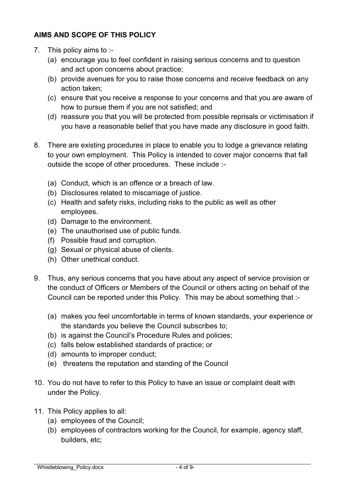#### **AIMS AND SCOPE OF THIS POLICY**

- 7. This policy aims to :-
	- (a) encourage you to feel confident in raising serious concerns and to question and act upon concerns about practice;
	- (b) provide avenues for you to raise those concerns and receive feedback on any action taken;
	- (c) ensure that you receive a response to your concerns and that you are aware of how to pursue them if you are not satisfied; and
	- (d) reassure you that you will be protected from possible reprisals or victimisation if you have a reasonable belief that you have made any disclosure in good faith.
- 8. There are existing procedures in place to enable you to lodge a grievance relating to your own employment. This Policy is intended to cover major concerns that fall outside the scope of other procedures. These include :-
	- (a) Conduct, which is an offence or a breach of law.
	- (b) Disclosures related to miscarriage of justice.
	- (c) Health and safety risks, including risks to the public as well as other employees.
	- (d) Damage to the environment.
	- (e) The unauthorised use of public funds.
	- (f) Possible fraud and corruption.
	- (g) Sexual or physical abuse of clients.
	- (h) Other unethical conduct.
- 9. Thus, any serious concerns that you have about any aspect of service provision or the conduct of Officers or Members of the Council or others acting on behalf of the Council can be reported under this Policy. This may be about something that :-
	- (a) makes you feel uncomfortable in terms of known standards, your experience or the standards you believe the Council subscribes to;
	- (b) is against the Council's Procedure Rules and policies;
	- (c) falls below established standards of practice; or
	- (d) amounts to improper conduct;
	- (e) threatens the reputation and standing of the Council
- 10. You do not have to refer to this Policy to have an issue or complaint dealt with under the Policy.
- 11. This Policy applies to all:
	- (a) employees of the Council;
	- (b) employees of contractors working for the Council, for example, agency staff, builders, etc;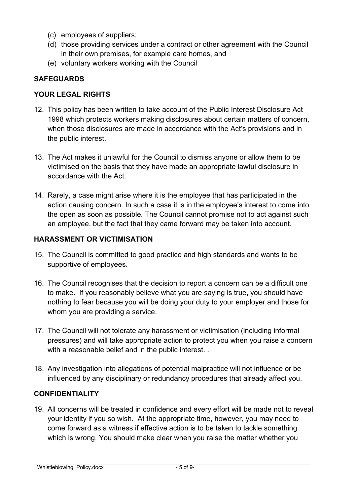- (c) employees of suppliers;
- (d) those providing services under a contract or other agreement with the Council in their own premises, for example care homes, and
- (e) voluntary workers working with the Council

# **SAFEGUARDS**

#### **YOUR LEGAL RIGHTS**

- 12. This policy has been written to take account of the Public Interest Disclosure Act 1998 which protects workers making disclosures about certain matters of concern, when those disclosures are made in accordance with the Act's provisions and in the public interest.
- 13. The Act makes it unlawful for the Council to dismiss anyone or allow them to be victimised on the basis that they have made an appropriate lawful disclosure in accordance with the Act.
- an employee, but the fact that they came forward may be taken into account. 14. Rarely, a case might arise where it is the employee that has participated in the action causing concern. In such a case it is in the employee's interest to come into the open as soon as possible. The Council cannot promise not to act against such

#### **HARASSMENT OR VICTIMISATION**

- 15. The Council is committed to good practice and high standards and wants to be supportive of employees.
- 16. The Council recognises that the decision to report a concern can be a difficult one to make. If you reasonably believe what you are saying is true, you should have nothing to fear because you will be doing your duty to your employer and those for whom you are providing a service.
- 17. The Council will not tolerate any harassment or victimisation (including informal pressures) and will take appropriate action to protect you when you raise a concern with a reasonable belief and in the public interest. .
- 18. Any investigation into allegations of potential malpractice will not influence or be influenced by any disciplinary or redundancy procedures that already affect you.

# **CONFIDENTIALITY**

19. All concerns will be treated in confidence and every effort will be made not to reveal your identity if you so wish. At the appropriate time, however, you may need to come forward as a witness if effective action is to be taken to tackle something which is wrong. You should make clear when you raise the matter whether you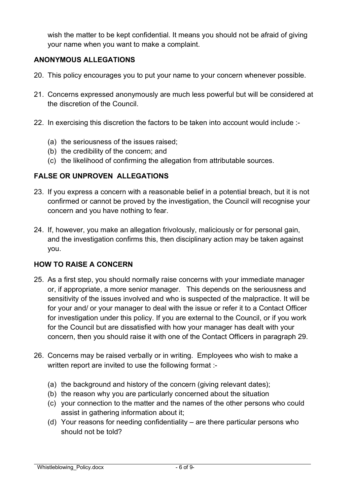wish the matter to be kept confidential. It means you should not be afraid of giving your name when you want to make a complaint.

#### **ANONYMOUS ALLEGATIONS**

- 20. This policy encourages you to put your name to your concern whenever possible.
- 21. Concerns expressed anonymously are much less powerful but will be considered at the discretion of the Council.
- 22. In exercising this discretion the factors to be taken into account would include :-
	- (a) the seriousness of the issues raised;
	- (b) the credibility of the concern; and
	- (c) the likelihood of confirming the allegation from attributable sources.

#### **FALSE OR UNPROVEN ALLEGATIONS**

- 23. If you express a concern with a reasonable belief in a potential breach, but it is not confirmed or cannot be proved by the investigation, the Council will recognise your concern and you have nothing to fear.
- 24. If, however, you make an allegation frivolously, maliciously or for personal gain, and the investigation confirms this, then disciplinary action may be taken against you.

# **HOW TO RAISE A CONCERN**

- concern, then you should raise it with one of the Contact Officers in paragraph 29. 25. As a first step, you should normally raise concerns with your immediate manager or, if appropriate, a more senior manager. This depends on the seriousness and sensitivity of the issues involved and who is suspected of the malpractice. It will be for your and/ or your manager to deal with the issue or refer it to a Contact Officer for investigation under this policy. If you are external to the Council, or if you work for the Council but are dissatisfied with how your manager has dealt with your
- 26. Concerns may be raised verbally or in writing. Employees who wish to make a written report are invited to use the following format :-
	- (a) the background and history of the concern (giving relevant dates);
	- (b) the reason why you are particularly concerned about the situation
	- (c) your connection to the matter and the names of the other persons who could assist in gathering information about it;
	- (d) Your reasons for needing confidentiality are there particular persons who should not be told?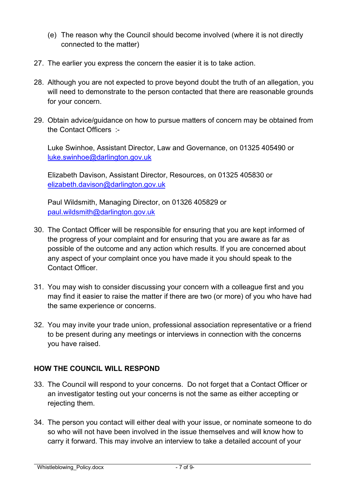- (e) The reason why the Council should become involved (where it is not directly connected to the matter)
- 27. The earlier you express the concern the easier it is to take action.
- 28. Although you are not expected to prove beyond doubt the truth of an allegation, you will need to demonstrate to the person contacted that there are reasonable grounds for your concern.
- 29. Obtain advice/guidance on how to pursue matters of concern may be obtained from the Contact Officers :-

luke.swinhoe@darlington.gov.uk Luke Swinhoe, Assistant Director, Law and Governance, on 01325 405490 or

Elizabeth Davison, Assistant Director, Resources, on 01325 405830 or [elizabeth.davison@darlington.gov.uk](mailto:elizabeth.davison@darlington.gov.uk) 

paul.wildsmith@darlington.gov.uk Paul Wildsmith, Managing Director, on 01326 405829 or

- the progress of your complaint and for ensuring that you are aware as far as 30. The Contact Officer will be responsible for ensuring that you are kept informed of possible of the outcome and any action which results. If you are concerned about any aspect of your complaint once you have made it you should speak to the Contact Officer.
- 31. You may wish to consider discussing your concern with a colleague first and you may find it easier to raise the matter if there are two (or more) of you who have had the same experience or concerns.
- 32. You may invite your trade union, professional association representative or a friend to be present during any meetings or interviews in connection with the concerns you have raised.

#### **HOW THE COUNCIL WILL RESPOND**

- 33. The Council will respond to your concerns. Do not forget that a Contact Officer or an investigator testing out your concerns is not the same as either accepting or rejecting them.
- carry it forward. This may involve an interview to take a detailed account of your 34. The person you contact will either deal with your issue, or nominate someone to do so who will not have been involved in the issue themselves and will know how to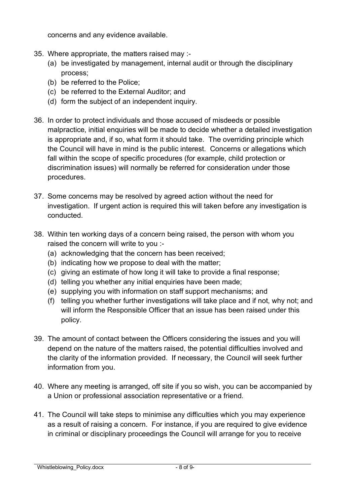concerns and any evidence available.

- 35. Where appropriate, the matters raised may :-
	- (a) be investigated by management, internal audit or through the disciplinary process;
	- (b) be referred to the Police;
	- (c) be referred to the External Auditor; and
	- (d) form the subject of an independent inquiry.
- 36. In order to protect individuals and those accused of misdeeds or possible malpractice, initial enquiries will be made to decide whether a detailed investigation is appropriate and, if so, what form it should take. The overriding principle which the Council will have in mind is the public interest. Concerns or allegations which fall within the scope of specific procedures (for example, child protection or discrimination issues) will normally be referred for consideration under those procedures.
- investigation. If urgent action is required this will taken before any investigation is 37. Some concerns may be resolved by agreed action without the need for conducted.
- 38. Within ten working days of a concern being raised, the person with whom you raised the concern will write to you :-
	- (a) acknowledging that the concern has been received;
	- (b) indicating how we propose to deal with the matter;
	- (c) giving an estimate of how long it will take to provide a final response;
	- (d) telling you whether any initial enquiries have been made;
	- (e) supplying you with information on staff support mechanisms; and
	- (f) telling you whether further investigations will take place and if not, why not; and will inform the Responsible Officer that an issue has been raised under this policy.
- 39. The amount of contact between the Officers considering the issues and you will depend on the nature of the matters raised, the potential difficulties involved and the clarity of the information provided. If necessary, the Council will seek further information from you.
- a Union or professional association representative or a friend. 40. Where any meeting is arranged, off site if you so wish, you can be accompanied by
- 41. The Council will take steps to minimise any difficulties which you may experience as a result of raising a concern. For instance, if you are required to give evidence in criminal or disciplinary proceedings the Council will arrange for you to receive